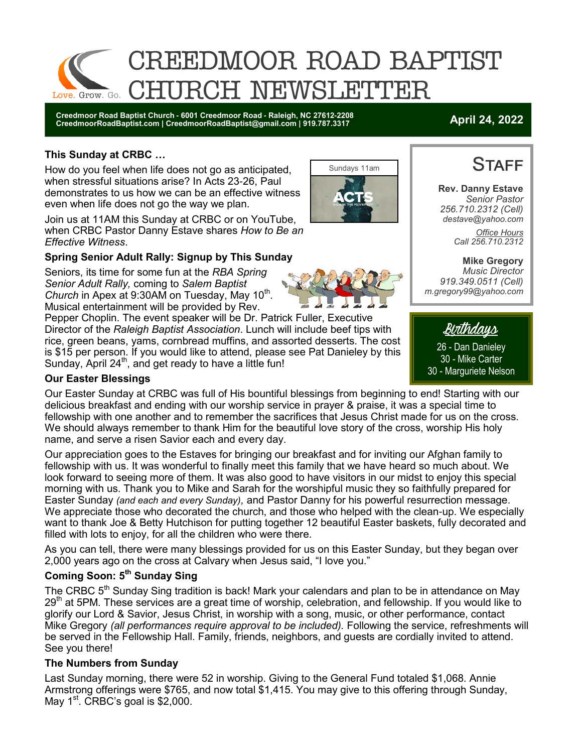

**Creedmoor Road Baptist Church - 6001 Creedmoor Road - Raleigh, NC 27612-2208 CreedmoorRoadBaptist.com | CreedmoorRoadBaptist@gmail.com | 919.787.3317 April 24, 2022**

#### **This Sunday at CRBC …**

How do you feel when life does not go as anticipated, when stressful situations arise? In Acts 23-26, Paul demonstrates to us how we can be an effective witness even when life does not go the way we plan.

Join us at 11AM this Sunday at CRBC or on YouTube, when CRBC Pastor Danny Estave shares *How to Be an Effective Witness*.

### **Spring Senior Adult Rally: Signup by This Sunday**

Seniors, its time for some fun at the *RBA Spring Senior Adult Rally,* coming to *Salem Baptist*  Church in Apex at 9:30AM on Tuesday, May 10<sup>th</sup>. Musical entertainment will be provided by Rev.

Pepper Choplin. The event speaker will be Dr. Patrick Fuller, Executive Director of the *Raleigh Baptist Association*. Lunch will include beef tips with rice, green beans, yams, cornbread muffins, and assorted desserts. The cost is \$15 per person. If you would like to attend, please see Pat Danieley by this Sunday, April 24<sup>th</sup>, and get ready to have a little fun!

### **Our Easter Blessings**

Our Easter Sunday at CRBC was full of His bountiful blessings from beginning to end! Starting with our delicious breakfast and ending with our worship service in prayer & praise, it was a special time to fellowship with one another and to remember the sacrifices that Jesus Christ made for us on the cross. We should always remember to thank Him for the beautiful love story of the cross, worship His holy name, and serve a risen Savior each and every day.

Our appreciation goes to the Estaves for bringing our breakfast and for inviting our Afghan family to fellowship with us. It was wonderful to finally meet this family that we have heard so much about. We look forward to seeing more of them. It was also good to have visitors in our midst to enjoy this special morning with us. Thank you to Mike and Sarah for the worshipful music they so faithfully prepared for Easter Sunday *(and each and every Sunday),* and Pastor Danny for his powerful resurrection message. We appreciate those who decorated the church, and those who helped with the clean-up. We especially want to thank Joe & Betty Hutchison for putting together 12 beautiful Easter baskets, fully decorated and filled with lots to enjoy, for all the children who were there.

As you can tell, there were many blessings provided for us on this Easter Sunday, but they began over 2,000 years ago on the cross at Calvary when Jesus said, "I love you."

### **Coming Soon: 5th Sunday Sing**

The CRBC 5<sup>th</sup> Sunday Sing tradition is back! Mark your calendars and plan to be in attendance on May 29<sup>th</sup> at 5PM. These services are a great time of worship, celebration, and fellowship. If you would like to glorify our Lord & Savior, Jesus Christ, in worship with a song, music, or other performance, contact Mike Gregory *(all performances require approval to be included).* Following the service, refreshments will be served in the Fellowship Hall. Family, friends, neighbors, and guests are cordially invited to attend. See you there!

#### **The Numbers from Sunday**

Last Sunday morning, there were 52 in worship. Giving to the General Fund totaled \$1,068. Annie Armstrong offerings were \$765, and now total \$1,415. You may give to this offering through Sunday, May  $1<sup>st</sup>$ . CRBC's goal is \$2,000.



**Rev. Danny Estave**

**STAFF** 

*Senior Pastor 256.710.2312 (Cell) destave@yahoo.com Office Hours Call 256.710.2312* 

**Mike Gregory** *Music Director 919.349.0511 (Cell) m.gregory99@yahoo.com* 



26 - Dan Danieley 30 - Mike Carter 30 - Marguriete Nelson